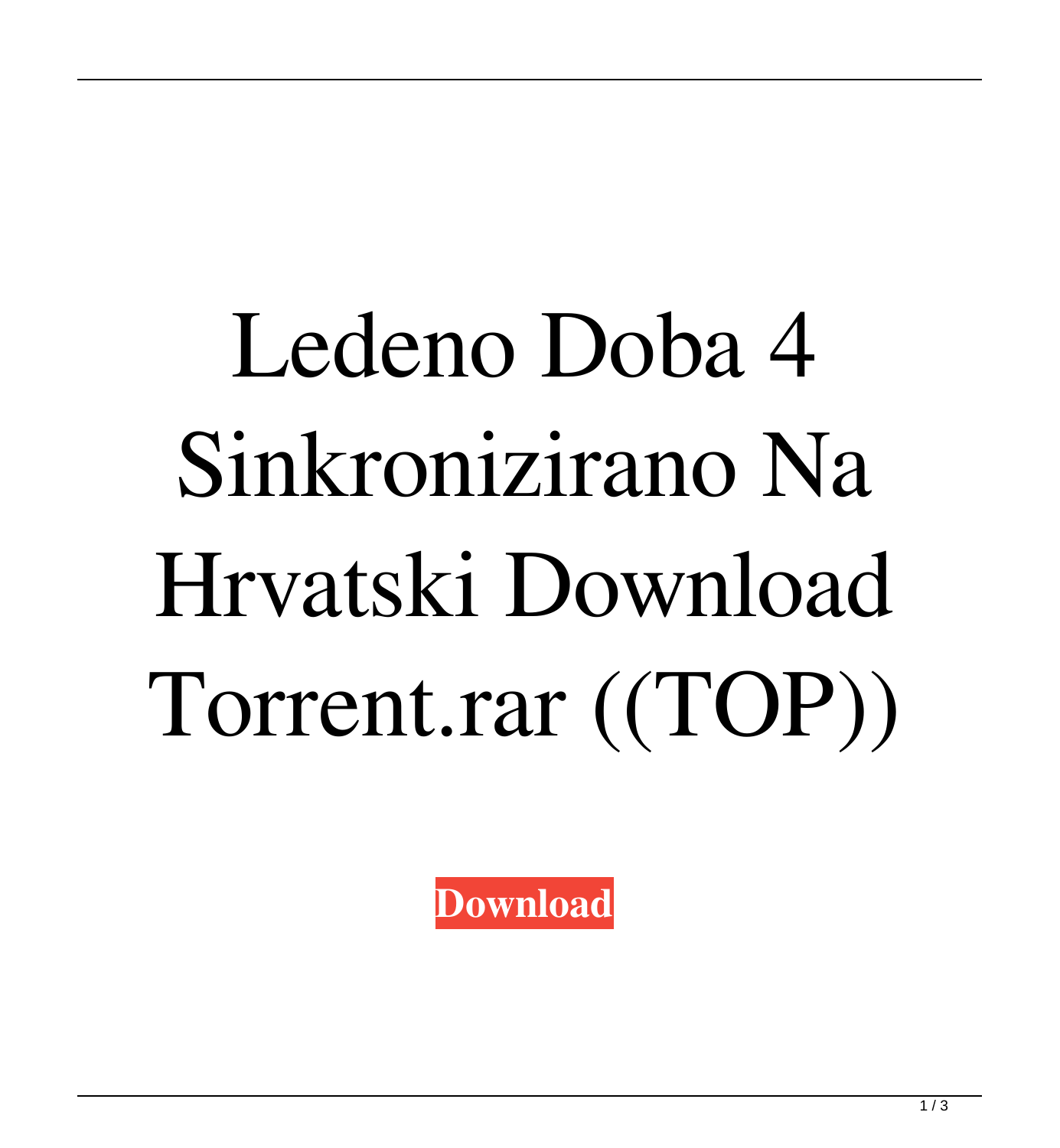## Ledeno Doba 4 Sinkronizirano Na Hrvatski Download Torrent.rar ((TOP))

**[Download](https://shoxet.com/2lxz59)**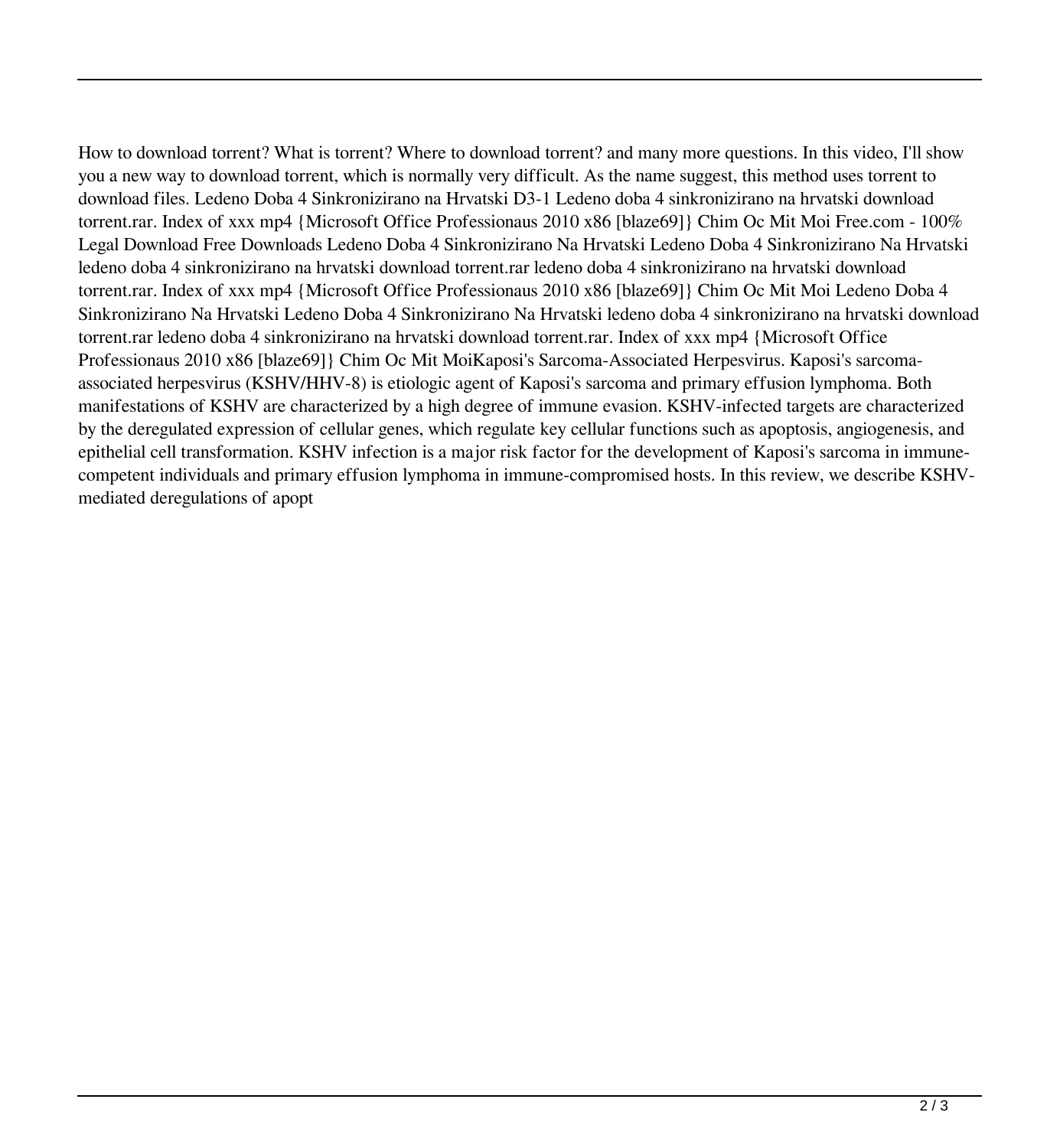How to download torrent? What is torrent? Where to download torrent? and many more questions. In this video, I'll show you a new way to download torrent, which is normally very difficult. As the name suggest, this method uses torrent to download files. Ledeno Doba 4 Sinkronizirano na Hrvatski D3-1 Ledeno doba 4 sinkronizirano na hrvatski download torrent.rar. Index of xxx mp4 {Microsoft Office Professionaus 2010 x86 [blaze69]} Chim Oc Mit Moi Free.com - 100% Legal Download Free Downloads Ledeno Doba 4 Sinkronizirano Na Hrvatski Ledeno Doba 4 Sinkronizirano Na Hrvatski ledeno doba 4 sinkronizirano na hrvatski download torrent.rar ledeno doba 4 sinkronizirano na hrvatski download torrent.rar. Index of xxx mp4 {Microsoft Office Professionaus 2010 x86 [blaze69]} Chim Oc Mit Moi Ledeno Doba 4 Sinkronizirano Na Hrvatski Ledeno Doba 4 Sinkronizirano Na Hrvatski ledeno doba 4 sinkronizirano na hrvatski download torrent.rar ledeno doba 4 sinkronizirano na hrvatski download torrent.rar. Index of xxx mp4 {Microsoft Office Professionaus 2010 x86 [blaze69]} Chim Oc Mit MoiKaposi's Sarcoma-Associated Herpesvirus. Kaposi's sarcomaassociated herpesvirus (KSHV/HHV-8) is etiologic agent of Kaposi's sarcoma and primary effusion lymphoma. Both manifestations of KSHV are characterized by a high degree of immune evasion. KSHV-infected targets are characterized by the deregulated expression of cellular genes, which regulate key cellular functions such as apoptosis, angiogenesis, and epithelial cell transformation. KSHV infection is a major risk factor for the development of Kaposi's sarcoma in immunecompetent individuals and primary effusion lymphoma in immune-compromised hosts. In this review, we describe KSHVmediated deregulations of apopt